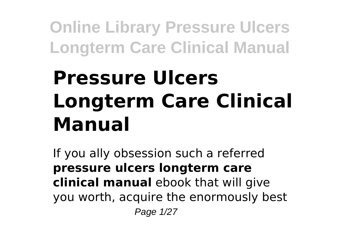# **Pressure Ulcers Longterm Care Clinical Manual**

If you ally obsession such a referred **pressure ulcers longterm care clinical manual** ebook that will give you worth, acquire the enormously best Page 1/27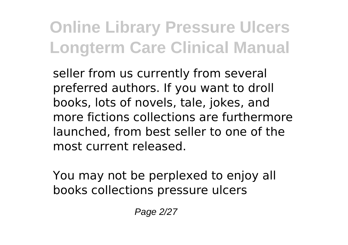seller from us currently from several preferred authors. If you want to droll books, lots of novels, tale, jokes, and more fictions collections are furthermore launched, from best seller to one of the most current released.

You may not be perplexed to enjoy all books collections pressure ulcers

Page 2/27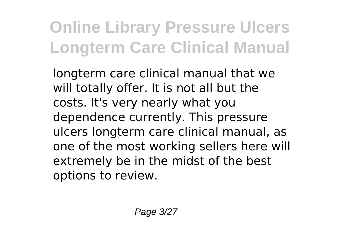longterm care clinical manual that we will totally offer. It is not all but the costs. It's very nearly what you dependence currently. This pressure ulcers longterm care clinical manual, as one of the most working sellers here will extremely be in the midst of the best options to review.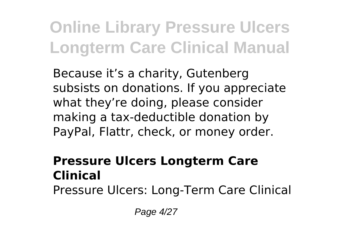Because it's a charity, Gutenberg subsists on donations. If you appreciate what they're doing, please consider making a tax-deductible donation by PayPal, Flattr, check, or money order.

#### **Pressure Ulcers Longterm Care Clinical**

Pressure Ulcers: Long-Term Care Clinical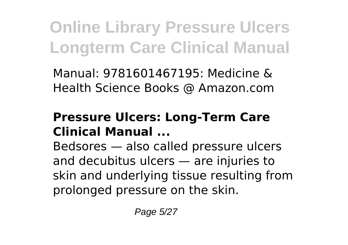Manual: 9781601467195: Medicine & Health Science Books @ Amazon.com

#### **Pressure Ulcers: Long-Term Care Clinical Manual ...**

Bedsores — also called pressure ulcers and decubitus ulcers — are injuries to skin and underlying tissue resulting from prolonged pressure on the skin.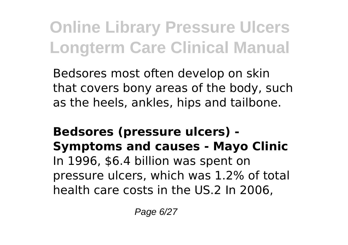Bedsores most often develop on skin that covers bony areas of the body, such as the heels, ankles, hips and tailbone.

#### **Bedsores (pressure ulcers) - Symptoms and causes - Mayo Clinic** In 1996, \$6.4 billion was spent on pressure ulcers, which was 1.2% of total health care costs in the US.2 In 2006,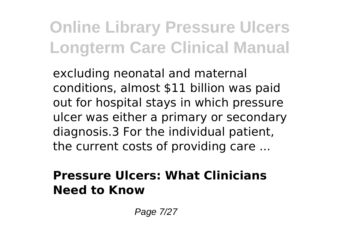excluding neonatal and maternal conditions, almost \$11 billion was paid out for hospital stays in which pressure ulcer was either a primary or secondary diagnosis.3 For the individual patient, the current costs of providing care ...

#### **Pressure Ulcers: What Clinicians Need to Know**

Page 7/27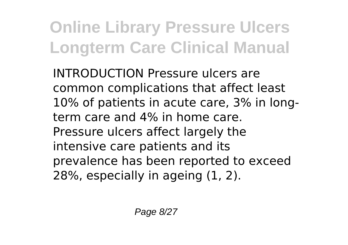INTRODUCTION Pressure ulcers are common complications that affect least 10% of patients in acute care, 3% in longterm care and 4% in home care. Pressure ulcers affect largely the intensive care patients and its prevalence has been reported to exceed 28%, especially in ageing (1, 2).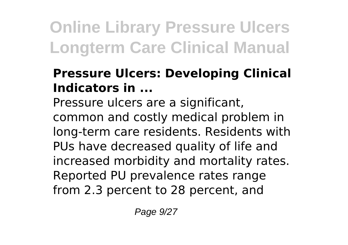### **Pressure Ulcers: Developing Clinical Indicators in ...**

Pressure ulcers are a significant, common and costly medical problem in long-term care residents. Residents with PUs have decreased quality of life and increased morbidity and mortality rates. Reported PU prevalence rates range from 2.3 percent to 28 percent, and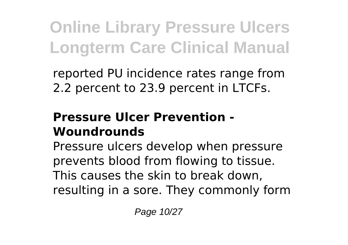reported PU incidence rates range from 2.2 percent to 23.9 percent in LTCFs.

#### **Pressure Ulcer Prevention - Woundrounds**

Pressure ulcers develop when pressure prevents blood from flowing to tissue. This causes the skin to break down, resulting in a sore. They commonly form

Page 10/27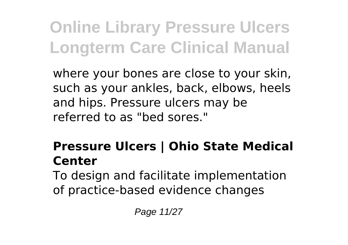where your bones are close to your skin, such as your ankles, back, elbows, heels and hips. Pressure ulcers may be referred to as "bed sores."

### **Pressure Ulcers | Ohio State Medical Center**

To design and facilitate implementation of practice-based evidence changes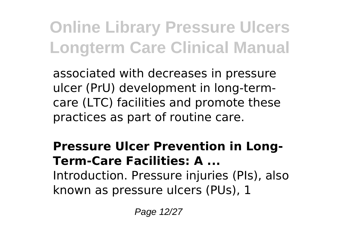associated with decreases in pressure ulcer (PrU) development in long-termcare (LTC) facilities and promote these practices as part of routine care.

**Pressure Ulcer Prevention in Long-Term-Care Facilities: A ...** Introduction. Pressure injuries (PIs), also known as pressure ulcers (PUs), 1

Page 12/27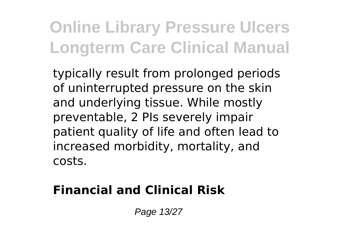typically result from prolonged periods of uninterrupted pressure on the skin and underlying tissue. While mostly preventable, 2 PIs severely impair patient quality of life and often lead to increased morbidity, mortality, and costs.

### **Financial and Clinical Risk**

Page 13/27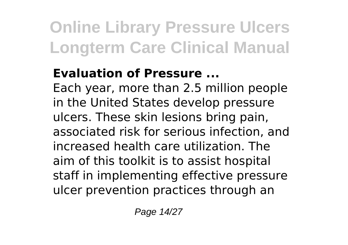### **Evaluation of Pressure ...**

Each year, more than 2.5 million people in the United States develop pressure ulcers. These skin lesions bring pain, associated risk for serious infection, and increased health care utilization. The aim of this toolkit is to assist hospital staff in implementing effective pressure ulcer prevention practices through an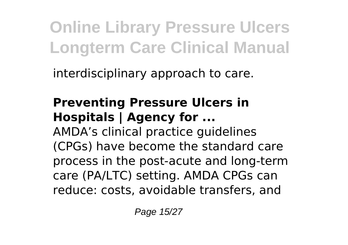interdisciplinary approach to care.

### **Preventing Pressure Ulcers in Hospitals | Agency for ...**

AMDA's clinical practice guidelines (CPGs) have become the standard care process in the post-acute and long-term care (PA/LTC) setting. AMDA CPGs can reduce: costs, avoidable transfers, and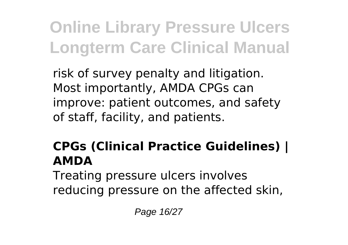risk of survey penalty and litigation. Most importantly, AMDA CPGs can improve: patient outcomes, and safety of staff, facility, and patients.

### **CPGs (Clinical Practice Guidelines) | AMDA**

Treating pressure ulcers involves reducing pressure on the affected skin,

Page 16/27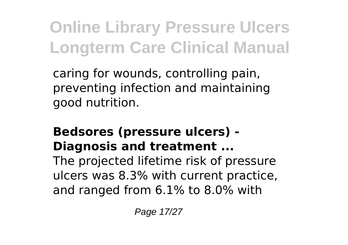caring for wounds, controlling pain, preventing infection and maintaining good nutrition.

#### **Bedsores (pressure ulcers) - Diagnosis and treatment ...**

The projected lifetime risk of pressure ulcers was 8.3% with current practice, and ranged from 6.1% to 8.0% with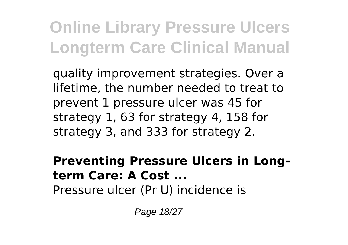quality improvement strategies. Over a lifetime, the number needed to treat to prevent 1 pressure ulcer was 45 for strategy 1, 63 for strategy 4, 158 for strategy 3, and 333 for strategy 2.

#### **Preventing Pressure Ulcers in Longterm Care: A Cost ...**

Pressure ulcer (Pr U) incidence is

Page 18/27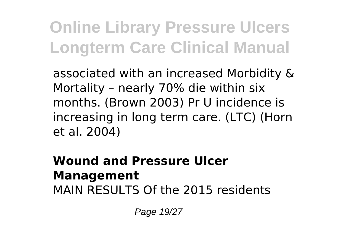associated with an increased Morbidity & Mortality – nearly 70% die within six months. (Brown 2003) Pr U incidence is increasing in long term care. (LTC) (Horn et al. 2004)

#### **Wound and Pressure Ulcer Management** MAIN RESULTS Of the 2015 residents

Page 19/27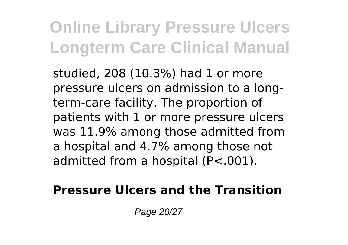studied, 208 (10.3%) had 1 or more pressure ulcers on admission to a longterm-care facility. The proportion of patients with 1 or more pressure ulcers was 11.9% among those admitted from a hospital and 4.7% among those not admitted from a hospital (P<.001).

#### **Pressure Ulcers and the Transition**

Page 20/27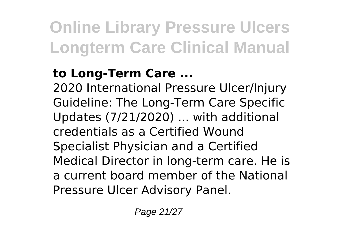### **to Long-Term Care ...**

2020 International Pressure Ulcer/Injury Guideline: The Long-Term Care Specific Updates (7/21/2020) ... with additional credentials as a Certified Wound Specialist Physician and a Certified Medical Director in long-term care. He is a current board member of the National Pressure Ulcer Advisory Panel.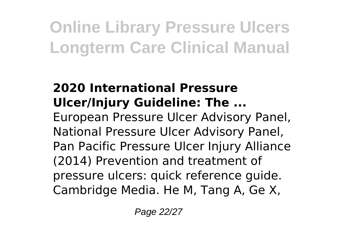### **2020 International Pressure Ulcer/Injury Guideline: The ...**

European Pressure Ulcer Advisory Panel, National Pressure Ulcer Advisory Panel, Pan Pacific Pressure Ulcer Injury Alliance (2014) Prevention and treatment of pressure ulcers: quick reference guide. Cambridge Media. He M, Tang A, Ge X,

Page 22/27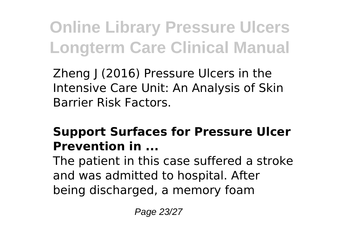Zheng J (2016) Pressure Ulcers in the Intensive Care Unit: An Analysis of Skin Barrier Risk Factors.

#### **Support Surfaces for Pressure Ulcer Prevention in ...**

The patient in this case suffered a stroke and was admitted to hospital. After being discharged, a memory foam

Page 23/27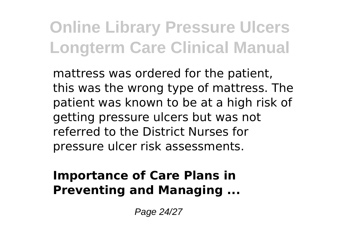mattress was ordered for the patient, this was the wrong type of mattress. The patient was known to be at a high risk of getting pressure ulcers but was not referred to the District Nurses for pressure ulcer risk assessments.

#### **Importance of Care Plans in Preventing and Managing ...**

Page 24/27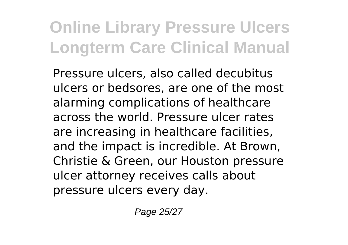Pressure ulcers, also called decubitus ulcers or bedsores, are one of the most alarming complications of healthcare across the world. Pressure ulcer rates are increasing in healthcare facilities, and the impact is incredible. At Brown, Christie & Green, our Houston pressure ulcer attorney receives calls about pressure ulcers every day.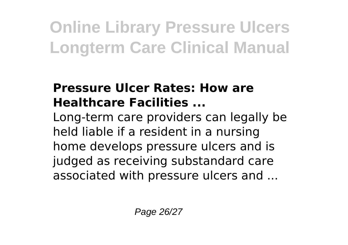#### **Pressure Ulcer Rates: How are Healthcare Facilities ...**

Long-term care providers can legally be held liable if a resident in a nursing home develops pressure ulcers and is judged as receiving substandard care associated with pressure ulcers and ...